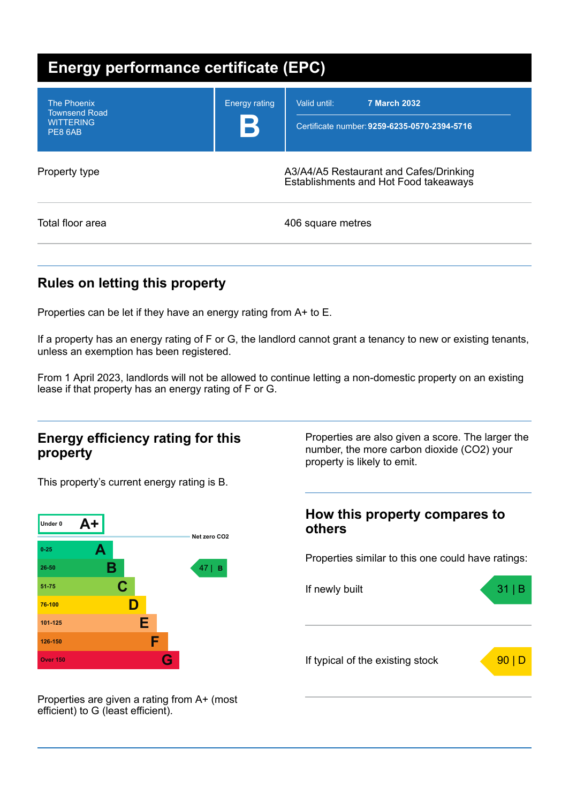| <b>Energy performance certificate (EPC)</b>                               |                      |                                                                                     |  |
|---------------------------------------------------------------------------|----------------------|-------------------------------------------------------------------------------------|--|
| <b>The Phoenix</b><br><b>Townsend Road</b><br><b>WITTERING</b><br>PE8 6AB | <b>Energy rating</b> | Valid until:<br><b>7 March 2032</b><br>Certificate number: 9259-6235-0570-2394-5716 |  |
| Property type                                                             |                      | A3/A4/A5 Restaurant and Cafes/Drinking<br>Establishments and Hot Food takeaways     |  |
| Total floor area                                                          |                      | 406 square metres                                                                   |  |

## **Rules on letting this property**

Properties can be let if they have an energy rating from A+ to E.

If a property has an energy rating of F or G, the landlord cannot grant a tenancy to new or existing tenants, unless an exemption has been registered.

From 1 April 2023, landlords will not be allowed to continue letting a non-domestic property on an existing lease if that property has an energy rating of F or G.

### **Energy efficiency rating for this property**

This property's current energy rating is B.



Properties are also given a score. The larger the number, the more carbon dioxide (CO2) your property is likely to emit.

## **How this property compares to others**

Properties similar to this one could have ratings:



Properties are given a rating from A+ (most efficient) to G (least efficient).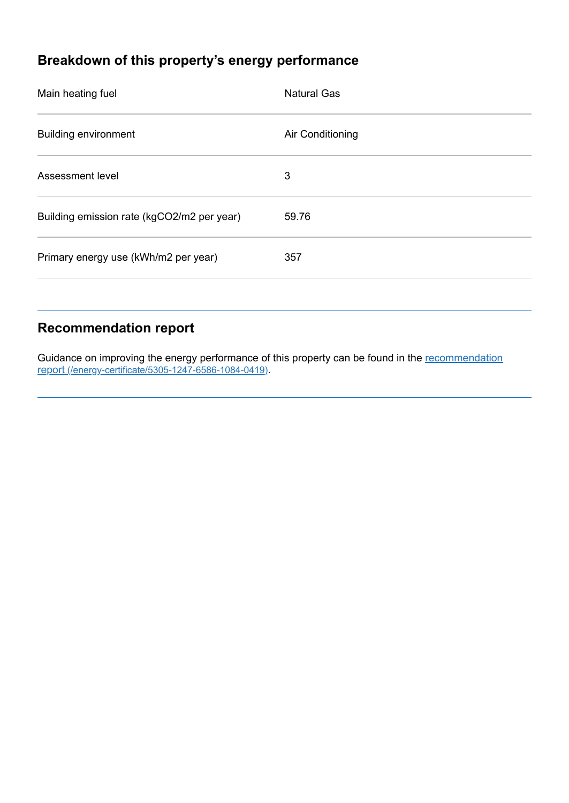# **Breakdown of this property's energy performance**

| Main heating fuel                          | <b>Natural Gas</b> |
|--------------------------------------------|--------------------|
| <b>Building environment</b>                | Air Conditioning   |
| Assessment level                           | 3                  |
| Building emission rate (kgCO2/m2 per year) | 59.76              |
| Primary energy use (kWh/m2 per year)       | 357                |
|                                            |                    |

## **Recommendation report**

Guidance on improving the energy performance of this property can be found in the recommendation report [\(/energy-certificate/5305-1247-6586-1084-0419\)](https://find-energy-certificate.service.gov.uk/energy-certificate/5305-1247-6586-1084-0419).